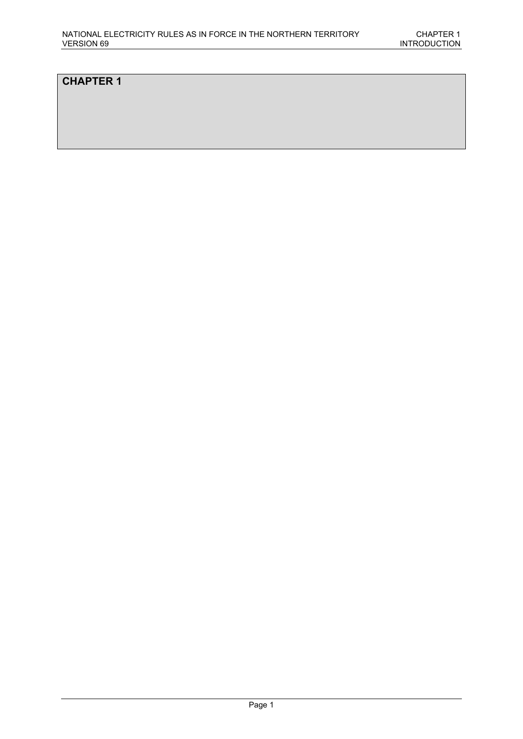## **CHAPTER 1**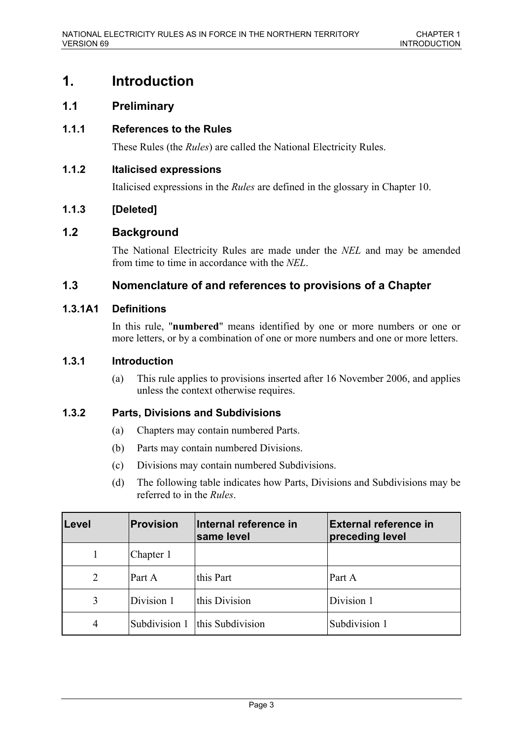# **1. Introduction**

# **1.1 Preliminary**

### **1.1.1 References to the Rules**

These Rules (the *Rules*) are called the National Electricity Rules.

### **1.1.2 Italicised expressions**

Italicised expressions in the *Rules* are defined in the glossary in Chapter 10.

### **1.1.3 [Deleted]**

### **1.2 Background**

The National Electricity Rules are made under the *NEL* and may be amended from time to time in accordance with the *NEL*.

### **1.3 Nomenclature of and references to provisions of a Chapter**

#### **1.3.1A1 Definitions**

In this rule, "**numbered**" means identified by one or more numbers or one or more letters, or by a combination of one or more numbers and one or more letters.

### **1.3.1 Introduction**

(a) This rule applies to provisions inserted after 16 November 2006, and applies unless the context otherwise requires.

#### **1.3.2 Parts, Divisions and Subdivisions**

- (a) Chapters may contain numbered Parts.
- (b) Parts may contain numbered Divisions.
- (c) Divisions may contain numbered Subdivisions.
- (d) The following table indicates how Parts, Divisions and Subdivisions may be referred to in the *Rules*.

| Level          | <b>Provision</b> | Internal reference in<br>same level | <b>External reference in</b><br>preceding level |
|----------------|------------------|-------------------------------------|-------------------------------------------------|
|                | Chapter 1        |                                     |                                                 |
| $\overline{2}$ | Part A           | this Part                           | Part A                                          |
| 3              | Division 1       | this Division                       | Division 1                                      |
| $\overline{4}$ |                  | Subdivision 1   this Subdivision    | Subdivision 1                                   |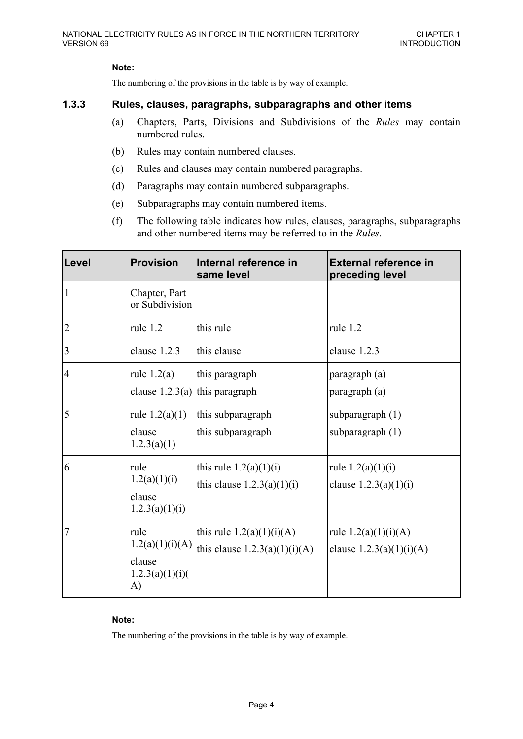#### **Note:**

The numbering of the provisions in the table is by way of example.

#### **1.3.3 Rules, clauses, paragraphs, subparagraphs and other items**

- (a) Chapters, Parts, Divisions and Subdivisions of the *Rules* may contain numbered rules.
- (b) Rules may contain numbered clauses.
- (c) Rules and clauses may contain numbered paragraphs.
- (d) Paragraphs may contain numbered subparagraphs.
- (e) Subparagraphs may contain numbered items.
- (f) The following table indicates how rules, clauses, paragraphs, subparagraphs and other numbered items may be referred to in the *Rules*.

| Level           | <b>Provision</b>                                           | Internal reference in<br>same level                            | <b>External reference in</b><br>preceding level      |
|-----------------|------------------------------------------------------------|----------------------------------------------------------------|------------------------------------------------------|
| $\mathbf{1}$    | Chapter, Part<br>or Subdivision                            |                                                                |                                                      |
| 2               | rule 1.2                                                   | this rule                                                      | rule 1.2                                             |
| $\vert 3 \vert$ | clause 1.2.3                                               | this clause                                                    | clause 1.2.3                                         |
| $\overline{4}$  | rule $1.2(a)$<br>clause $1.2.3(a)$ this paragraph          | this paragraph                                                 | paragraph (a)<br>paragraph (a)                       |
| 5               | rule $1.2(a)(1)$<br>clause<br>1.2.3(a)(1)                  | this subparagraph<br>this subparagraph                         | subparagraph $(1)$<br>subparagraph (1)               |
| 6               | rule<br>1.2(a)(1)(i)<br>clause<br>1.2.3(a)(1)(i)           | this rule $1.2(a)(1)(i)$<br>this clause $1.2.3(a)(1)(i)$       | rule $1.2(a)(1)(i)$<br>clause $1.2.3(a)(1)(i)$       |
| 7               | rule<br>1.2(a)(1)(i)(A)<br>clause<br>1.2.3(a)(1)(i)(<br>A) | this rule $1.2(a)(1)(i)(A)$<br>this clause $1.2.3(a)(1)(i)(A)$ | rule $1.2(a)(1)(i)(A)$<br>clause $1.2.3(a)(1)(i)(A)$ |

#### **Note:**

The numbering of the provisions in the table is by way of example.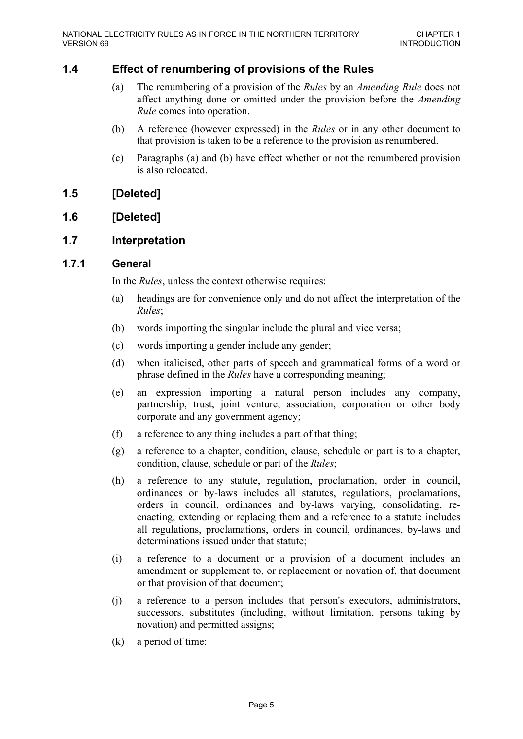# **1.4 Effect of renumbering of provisions of the Rules**

- (a) The renumbering of a provision of the *Rules* by an *Amending Rule* does not affect anything done or omitted under the provision before the *Amending Rule* comes into operation.
- (b) A reference (however expressed) in the *Rules* or in any other document to that provision is taken to be a reference to the provision as renumbered.
- (c) Paragraphs (a) and (b) have effect whether or not the renumbered provision is also relocated.

### **1.5 [Deleted]**

# **1.6 [Deleted]**

### **1.7 Interpretation**

#### **1.7.1 General**

In the *Rules*, unless the context otherwise requires:

- (a) headings are for convenience only and do not affect the interpretation of the *Rules*;
- (b) words importing the singular include the plural and vice versa;
- (c) words importing a gender include any gender;
- (d) when italicised, other parts of speech and grammatical forms of a word or phrase defined in the *Rules* have a corresponding meaning;
- (e) an expression importing a natural person includes any company, partnership, trust, joint venture, association, corporation or other body corporate and any government agency;
- (f) a reference to any thing includes a part of that thing;
- (g) a reference to a chapter, condition, clause, schedule or part is to a chapter, condition, clause, schedule or part of the *Rules*;
- (h) a reference to any statute, regulation, proclamation, order in council, ordinances or by-laws includes all statutes, regulations, proclamations, orders in council, ordinances and by-laws varying, consolidating, reenacting, extending or replacing them and a reference to a statute includes all regulations, proclamations, orders in council, ordinances, by-laws and determinations issued under that statute;
- (i) a reference to a document or a provision of a document includes an amendment or supplement to, or replacement or novation of, that document or that provision of that document;
- (j) a reference to a person includes that person's executors, administrators, successors, substitutes (including, without limitation, persons taking by novation) and permitted assigns;
- (k) a period of time: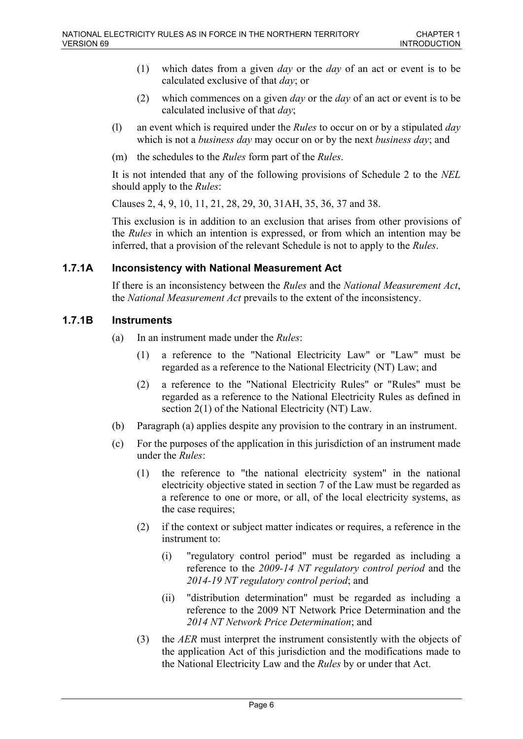- (1) which dates from a given *day* or the *day* of an act or event is to be calculated exclusive of that *day*; or
- (2) which commences on a given *day* or the *day* of an act or event is to be calculated inclusive of that *day*;
- (l) an event which is required under the *Rules* to occur on or by a stipulated *day* which is not a *business day* may occur on or by the next *business day*; and
- (m) the schedules to the *Rules* form part of the *Rules*.

It is not intended that any of the following provisions of Schedule 2 to the *NEL* should apply to the *Rules*:

Clauses 2, 4, 9, 10, 11, 21, 28, 29, 30, 31AH, 35, 36, 37 and 38.

This exclusion is in addition to an exclusion that arises from other provisions of the *Rules* in which an intention is expressed, or from which an intention may be inferred, that a provision of the relevant Schedule is not to apply to the *Rules*.

### **1.7.1A Inconsistency with National Measurement Act**

If there is an inconsistency between the *Rules* and the *National Measurement Act*, the *National Measurement Act* prevails to the extent of the inconsistency.

### **1.7.1B Instruments**

- (a) In an instrument made under the *Rules*:
	- (1) a reference to the "National Electricity Law" or "Law" must be regarded as a reference to the National Electricity (NT) Law; and
	- (2) a reference to the "National Electricity Rules" or "Rules" must be regarded as a reference to the National Electricity Rules as defined in section 2(1) of the National Electricity (NT) Law.
- (b) Paragraph (a) applies despite any provision to the contrary in an instrument.
- (c) For the purposes of the application in this jurisdiction of an instrument made under the *Rules*:
	- (1) the reference to "the national electricity system" in the national electricity objective stated in section 7 of the Law must be regarded as a reference to one or more, or all, of the local electricity systems, as the case requires;
	- (2) if the context or subject matter indicates or requires, a reference in the instrument to:
		- (i) "regulatory control period" must be regarded as including a reference to the *2009-14 NT regulatory control period* and the *2014-19 NT regulatory control period*; and
		- (ii) "distribution determination" must be regarded as including a reference to the 2009 NT Network Price Determination and the *2014 NT Network Price Determination*; and
	- (3) the *AER* must interpret the instrument consistently with the objects of the application Act of this jurisdiction and the modifications made to the National Electricity Law and the *Rules* by or under that Act.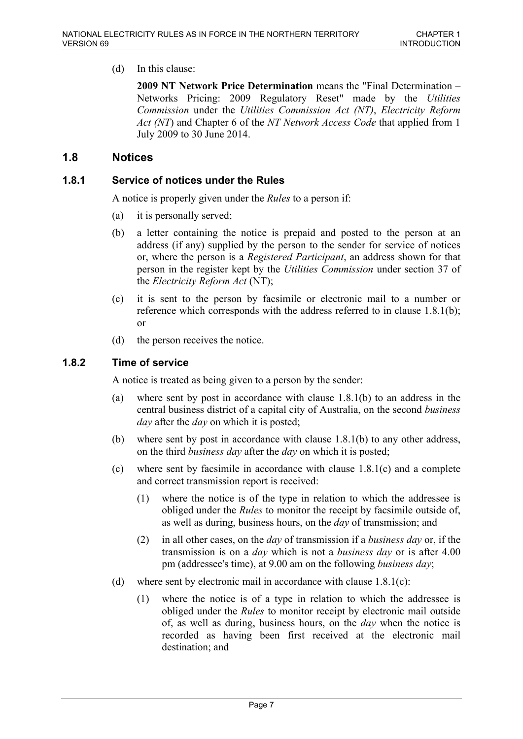(d) In this clause:

**2009 NT Network Price Determination** means the "Final Determination – Networks Pricing: 2009 Regulatory Reset" made by the *Utilities Commission* under the *Utilities Commission Act (NT)*, *Electricity Reform Act (NT*) and Chapter 6 of the *NT Network Access Code* that applied from 1 July 2009 to 30 June 2014.

### **1.8 Notices**

#### **1.8.1 Service of notices under the Rules**

A notice is properly given under the *Rules* to a person if:

- (a) it is personally served;
- (b) a letter containing the notice is prepaid and posted to the person at an address (if any) supplied by the person to the sender for service of notices or, where the person is a *Registered Participant*, an address shown for that person in the register kept by the *Utilities Commission* under section 37 of the *Electricity Reform Act* (NT);
- (c) it is sent to the person by facsimile or electronic mail to a number or reference which corresponds with the address referred to in clause 1.8.1(b); or
- (d) the person receives the notice.

#### **1.8.2 Time of service**

A notice is treated as being given to a person by the sender:

- (a) where sent by post in accordance with clause 1.8.1(b) to an address in the central business district of a capital city of Australia, on the second *business day* after the *day* on which it is posted;
- (b) where sent by post in accordance with clause 1.8.1(b) to any other address, on the third *business day* after the *day* on which it is posted;
- (c) where sent by facsimile in accordance with clause 1.8.1(c) and a complete and correct transmission report is received:
	- (1) where the notice is of the type in relation to which the addressee is obliged under the *Rules* to monitor the receipt by facsimile outside of, as well as during, business hours, on the *day* of transmission; and
	- (2) in all other cases, on the *day* of transmission if a *business day* or, if the transmission is on a *day* which is not a *business day* or is after 4.00 pm (addressee's time), at 9.00 am on the following *business day*;
- (d) where sent by electronic mail in accordance with clause 1.8.1(c):
	- (1) where the notice is of a type in relation to which the addressee is obliged under the *Rules* to monitor receipt by electronic mail outside of, as well as during, business hours, on the *day* when the notice is recorded as having been first received at the electronic mail destination; and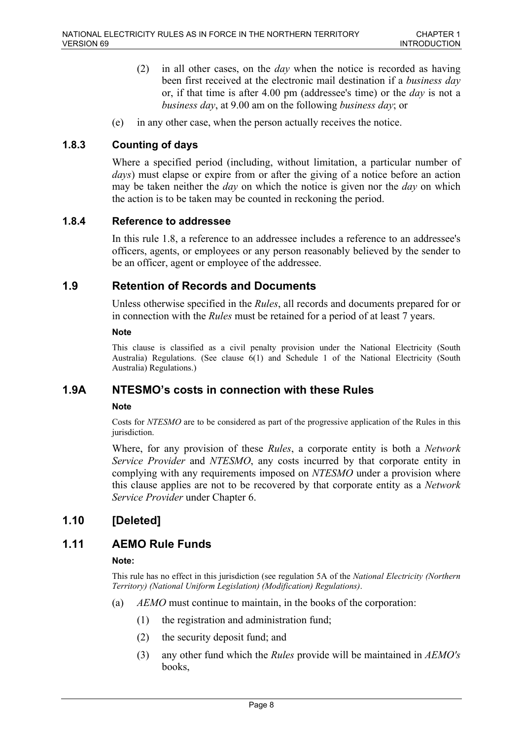- (2) in all other cases, on the *day* when the notice is recorded as having been first received at the electronic mail destination if a *business day* or, if that time is after 4.00 pm (addressee's time) or the *day* is not a *business day*, at 9.00 am on the following *business day*; or
- (e) in any other case, when the person actually receives the notice.

### **1.8.3 Counting of days**

Where a specified period (including, without limitation, a particular number of *days*) must elapse or expire from or after the giving of a notice before an action may be taken neither the *day* on which the notice is given nor the *day* on which the action is to be taken may be counted in reckoning the period.

#### **1.8.4 Reference to addressee**

In this rule 1.8, a reference to an addressee includes a reference to an addressee's officers, agents, or employees or any person reasonably believed by the sender to be an officer, agent or employee of the addressee.

### **1.9 Retention of Records and Documents**

Unless otherwise specified in the *Rules*, all records and documents prepared for or in connection with the *Rules* must be retained for a period of at least 7 years.

**Note**

This clause is classified as a civil penalty provision under the National Electricity (South Australia) Regulations. (See clause 6(1) and Schedule 1 of the National Electricity (South Australia) Regulations.)

#### **1.9A NTESMO's costs in connection with these Rules**

#### **Note**

Costs for *NTESMO* are to be considered as part of the progressive application of the Rules in this jurisdiction.

Where, for any provision of these *Rules*, a corporate entity is both a *Network Service Provider* and *NTESMO*, any costs incurred by that corporate entity in complying with any requirements imposed on *NTESMO* under a provision where this clause applies are not to be recovered by that corporate entity as a *Network Service Provider* under Chapter 6.

### **1.10 [Deleted]**

# **1.11 AEMO Rule Funds**

#### **Note:**

This rule has no effect in this jurisdiction (see regulation 5A of the *National Electricity (Northern Territory) (National Uniform Legislation) (Modification) Regulations)*.

- (a) *AEMO* must continue to maintain, in the books of the corporation:
	- (1) the registration and administration fund;
	- (2) the security deposit fund; and
	- (3) any other fund which the *Rules* provide will be maintained in *AEMO's* books,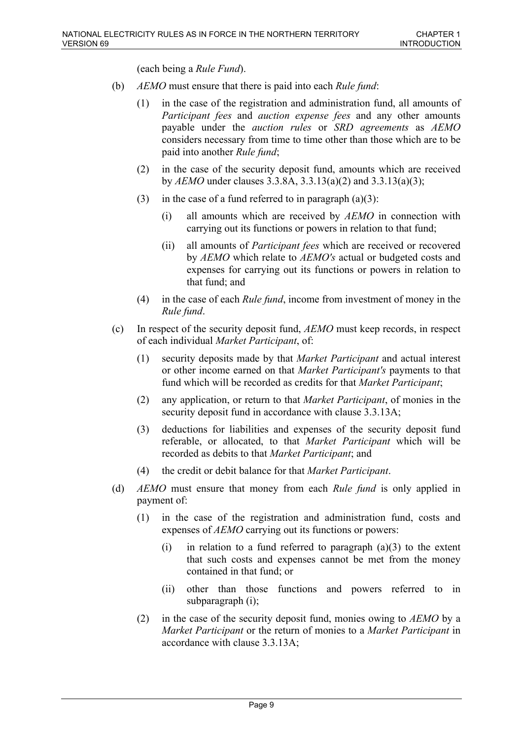(each being a *Rule Fund*).

- (b) *AEMO* must ensure that there is paid into each *Rule fund*:
	- (1) in the case of the registration and administration fund, all amounts of *Participant fees* and *auction expense fees* and any other amounts payable under the *auction rules* or *SRD agreements* as *AEMO* considers necessary from time to time other than those which are to be paid into another *Rule fund*;
	- (2) in the case of the security deposit fund, amounts which are received by *AEMO* under clauses 3.3.8A, 3.3.13(a)(2) and 3.3.13(a)(3);
	- (3) in the case of a fund referred to in paragraph  $(a)(3)$ :
		- (i) all amounts which are received by *AEMO* in connection with carrying out its functions or powers in relation to that fund;
		- (ii) all amounts of *Participant fees* which are received or recovered by *AEMO* which relate to *AEMO's* actual or budgeted costs and expenses for carrying out its functions or powers in relation to that fund; and
	- (4) in the case of each *Rule fund*, income from investment of money in the *Rule fund*.
- (c) In respect of the security deposit fund, *AEMO* must keep records, in respect of each individual *Market Participant*, of:
	- (1) security deposits made by that *Market Participant* and actual interest or other income earned on that *Market Participant's* payments to that fund which will be recorded as credits for that *Market Participant*;
	- (2) any application, or return to that *Market Participant*, of monies in the security deposit fund in accordance with clause 3.3.13A;
	- (3) deductions for liabilities and expenses of the security deposit fund referable, or allocated, to that *Market Participant* which will be recorded as debits to that *Market Participant*; and
	- (4) the credit or debit balance for that *Market Participant*.
- (d) *AEMO* must ensure that money from each *Rule fund* is only applied in payment of:
	- (1) in the case of the registration and administration fund, costs and expenses of *AEMO* carrying out its functions or powers:
		- (i) in relation to a fund referred to paragraph  $(a)(3)$  to the extent that such costs and expenses cannot be met from the money contained in that fund; or
		- (ii) other than those functions and powers referred to in subparagraph (i);
	- (2) in the case of the security deposit fund, monies owing to *AEMO* by a *Market Participant* or the return of monies to a *Market Participant* in accordance with clause 3.3.13A;